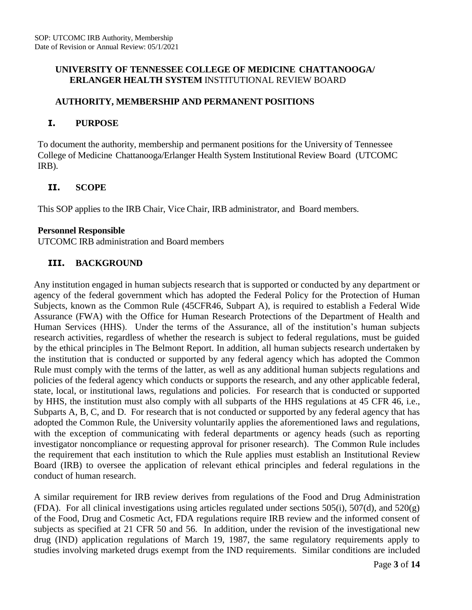### **UNIVERSITY OF TENNESSEE COLLEGE OF MEDICINE CHATTANOOGA/ ERLANGER HEALTH SYSTEM** INSTITUTIONAL REVIEW BOARD

### **AUTHORITY, MEMBERSHIP AND PERMANENT POSITIONS**

#### **I. PURPOSE**

To document the authority, membership and permanent positions for the University of Tennessee College of Medicine Chattanooga/Erlanger Health System Institutional Review Board (UTCOMC IRB).

### **II. SCOPE**

This SOP applies to the IRB Chair, Vice Chair, IRB administrator, and Board members.

#### **Personnel Responsible**

UTCOMC IRB administration and Board members

## **III. BACKGROUND**

Any institution engaged in human subjects research that is supported or conducted by any department or agency of the federal government which has adopted the Federal Policy for the Protection of Human Subjects, known as the Common Rule (45CFR46, Subpart A), is required to establish a Federal Wide Assurance (FWA) with the Office for Human Research Protections of the Department of Health and Human Services (HHS). Under the terms of the Assurance, all of the institution's human subjects research activities, regardless of whether the research is subject to federal regulations, must be guided by the ethical principles in The Belmont Report. In addition, all human subjects research undertaken by the institution that is conducted or supported by any federal agency which has adopted the Common Rule must comply with the terms of the latter, as well as any additional human subjects regulations and policies of the federal agency which conducts or supports the research, and any other applicable federal, state, local, or institutional laws, regulations and policies. For research that is conducted or supported by HHS, the institution must also comply with all subparts of the HHS regulations at 45 CFR 46, i.e., Subparts A, B, C, and D. For research that is not conducted or supported by any federal agency that has adopted the Common Rule, the University voluntarily applies the aforementioned laws and regulations, with the exception of communicating with federal departments or agency heads (such as reporting investigator noncompliance or requesting approval for prisoner research). The Common Rule includes the requirement that each institution to which the Rule applies must establish an Institutional Review Board (IRB) to oversee the application of relevant ethical principles and federal regulations in the conduct of human research.

A similar requirement for IRB review derives from regulations of the Food and Drug Administration (FDA). For all clinical investigations using articles regulated under sections  $505(i)$ ,  $507(d)$ , and  $520(g)$ of the Food, Drug and Cosmetic Act, FDA regulations require IRB review and the informed consent of subjects as specified at 21 CFR 50 and 56. In addition, under the revision of the investigational new drug (IND) application regulations of March 19, 1987, the same regulatory requirements apply to studies involving marketed drugs exempt from the IND requirements. Similar conditions are included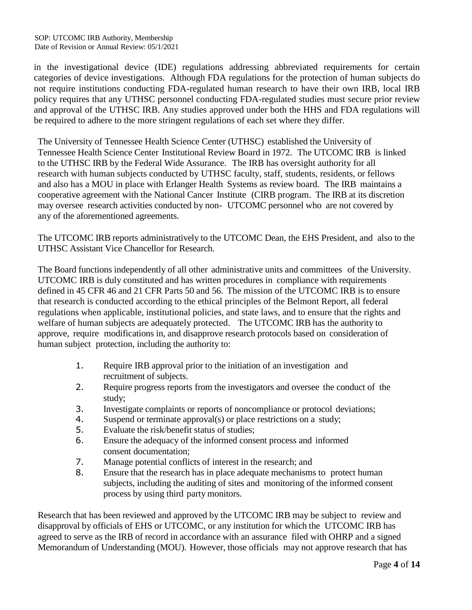in the investigational device (IDE) regulations addressing abbreviated requirements for certain categories of device investigations. Although FDA regulations for the protection of human subjects do not require institutions conducting FDA-regulated human research to have their own IRB, local IRB policy requires that any UTHSC personnel conducting FDA-regulated studies must secure prior review and approval of the UTHSC IRB. Any studies approved under both the HHS and FDA regulations will be required to adhere to the more stringent regulations of each set where they differ.

The University of Tennessee Health Science Center (UTHSC) established the University of Tennessee Health Science Center Institutional Review Board in 1972. The UTCOMC IRB is linked to the UTHSC IRB by the Federal Wide Assurance. The IRB has oversight authority for all research with human subjects conducted by UTHSC faculty, staff, students, residents, or fellows and also has a MOU in place with Erlanger Health Systems as review board. The IRB maintains a cooperative agreement with the National Cancer Institute (CIRB program. The IRB at its discretion may oversee research activities conducted by non- UTCOMC personnel who are not covered by any of the aforementioned agreements.

The UTCOMC IRB reports administratively to the UTCOMC Dean, the EHS President, and also to the UTHSC Assistant Vice Chancellor for Research.

The Board functions independently of all other administrative units and committees of the University. UTCOMC IRB is duly constituted and has written procedures in compliance with requirements defined in 45 CFR 46 and 21 CFR Parts 50 and 56. The mission of the UTCOMC IRB is to ensure that research is conducted according to the ethical principles of the Belmont Report, all federal regulations when applicable, institutional policies, and state laws, and to ensure that the rights and welfare of human subjects are adequately protected. The UTCOMC IRB has the authority to approve, require modifications in, and disapprove research protocols based on consideration of human subject protection, including the authority to:

- 1. Require IRB approval prior to the initiation of an investigation and recruitment of subjects.
- 2. Require progress reports from the investigators and oversee the conduct of the study;
- 3. Investigate complaints or reports of noncompliance or protocol deviations;
- 4. Suspend or terminate approval(s) or place restrictions on a study;
- 5. Evaluate the risk/benefit status of studies;
- 6. Ensure the adequacy of the informed consent process and informed consent documentation;
- 7. Manage potential conflicts of interest in the research; and
- 8. Ensure that the research has in place adequate mechanisms to protect human subjects, including the auditing of sites and monitoring of the informed consent process by using third party monitors.

Research that has been reviewed and approved by the UTCOMC IRB may be subject to review and disapproval by officials of EHS or UTCOMC, or any institution for which the UTCOMC IRB has agreed to serve as the IRB of record in accordance with an assurance filed with OHRP and a signed Memorandum of Understanding (MOU). However, those officials may not approve research that has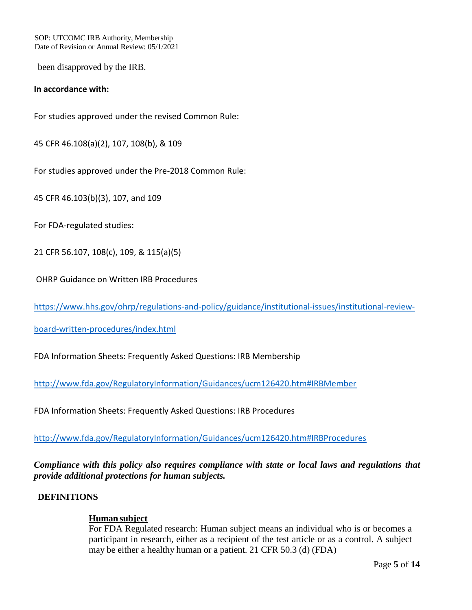SOP: UTCOMC IRB Authority, Membership Date of Revision or Annual Review: 05/1/2021

been disapproved by the IRB.

#### **In accordance with:**

For studies approved under the revised Common Rule:

45 CFR 46.108(a)(2), 107, 108(b), & 109

For studies approved under the Pre-2018 Common Rule:

45 CFR 46.103(b)(3), 107, and 109

For FDA-regulated studies:

21 CFR 56.107, 108(c), 109, & 115(a)(5)

OHRP Guidance on Written IRB Procedures

[https://www.hhs.gov/ohrp/regulations-and-policy/guidance/institutional-issues/institutional-review-](https://www.hhs.gov/ohrp/regulations-and-policy/guidance/institutional-issues/institutional-review-board-written-procedures/index.html)

[board-written-procedures/index.html](https://www.hhs.gov/ohrp/regulations-and-policy/guidance/institutional-issues/institutional-review-board-written-procedures/index.html)

FDA Information Sheets: Frequently Asked Questions: IRB Membership

<http://www.fda.gov/RegulatoryInformation/Guidances/ucm126420.htm#IRBMember>

FDA Information Sheets: Frequently Asked Questions: IRB Procedures

<http://www.fda.gov/RegulatoryInformation/Guidances/ucm126420.htm#IRBProcedures>

*Compliance with this policy also requires compliance with state or local laws and regulations that provide additional protections for human subjects.*

#### **DEFINITIONS**

#### **Human subject**

For FDA Regulated research: Human subject means an individual who is or becomes a participant in research, either as a recipient of the test article or as a control. A subject may be either a healthy human or a patient. 21 CFR 50.3 (d) (FDA)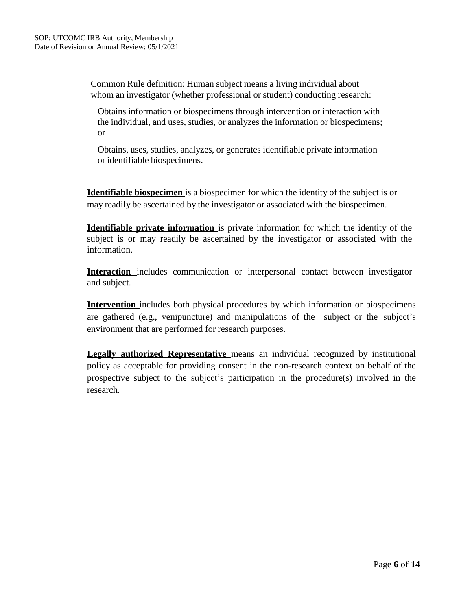Common Rule definition: Human subject means a living individual about whom an investigator (whether professional or student) conducting research:

Obtains information or biospecimens through intervention or interaction with the individual, and uses, studies, or analyzes the information or biospecimens; or

Obtains, uses, studies, analyzes, or generates identifiable private information or identifiable biospecimens.

**Identifiable biospecimen** is a biospecimen for which the identity of the subject is or may readily be ascertained by the investigator or associated with the biospecimen.

**Identifiable private information** is private information for which the identity of the subject is or may readily be ascertained by the investigator or associated with the information.

**Interaction** includes communication or interpersonal contact between investigator and subject.

**Intervention** includes both physical procedures by which information or biospecimens are gathered (e.g., venipuncture) and manipulations of the subject or the subject's environment that are performed for research purposes.

**Legally authorized Representative** means an individual recognized by institutional policy as acceptable for providing consent in the non-research context on behalf of the prospective subject to the subject's participation in the procedure(s) involved in the research.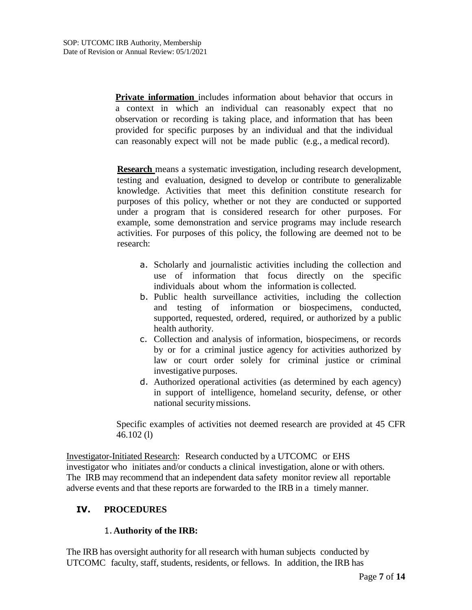**Private information** includes information about behavior that occurs in a context in which an individual can reasonably expect that no observation or recording is taking place, and information that has been provided for specific purposes by an individual and that the individual can reasonably expect will not be made public (e.g., a medical record).

**Research** means a systematic investigation, including research development, testing and evaluation, designed to develop or contribute to generalizable knowledge. Activities that meet this definition constitute research for purposes of this policy, whether or not they are conducted or supported under a program that is considered research for other purposes. For example, some demonstration and service programs may include research activities. For purposes of this policy, the following are deemed not to be research:

- a. Scholarly and journalistic activities including the collection and use of information that focus directly on the specific individuals about whom the information is collected.
- b. Public health surveillance activities, including the collection and testing of information or biospecimens, conducted, supported, requested, ordered, required, or authorized by a public health authority.
- c. Collection and analysis of information, biospecimens, or records by or for a criminal justice agency for activities authorized by law or court order solely for criminal justice or criminal investigative purposes.
- d. Authorized operational activities (as determined by each agency) in support of intelligence, homeland security, defense, or other national securitymissions.

Specific examples of activities not deemed research are provided at 45 CFR 46.102 (l)

Investigator-Initiated Research: Research conducted by a UTCOMC or EHS investigator who initiates and/or conducts a clinical investigation, alone or with others. The IRB may recommend that an independent data safety monitor review all reportable adverse events and that these reports are forwarded to the IRB in a timely manner.

## **IV. PROCEDURES**

#### 1.**Authority of the IRB:**

The IRB has oversight authority for all research with human subjects conducted by UTCOMC faculty, staff, students, residents, or fellows. In addition, the IRB has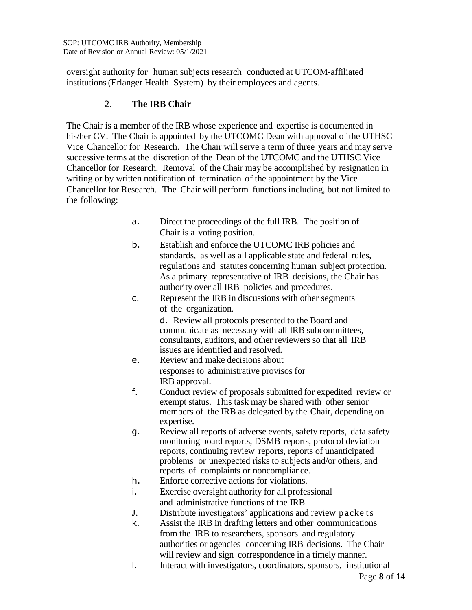oversight authority for human subjects research conducted at UTCOM-affiliated institutions(Erlanger Health System) by their employees and agents.

# 2. **The IRB Chair**

The Chair is a member of the IRB whose experience and expertise is documented in his/her CV. The Chair is appointed by the UTCOMC Dean with approval of the UTHSC Vice Chancellor for Research. The Chair will serve a term of three years and may serve successive terms at the discretion of the Dean of the UTCOMC and the UTHSC Vice Chancellor for Research. Removal of the Chair may be accomplished by resignation in writing or by written notification of termination of the appointment by the Vice Chancellor for Research. The Chair will perform functions including, but not limited to the following:

- a. Direct the proceedings of the full IRB. The position of Chair is a voting position.
- b. Establish and enforce the UTCOMC IRB policies and standards, as well as all applicable state and federal rules, regulations and statutes concerning human subject protection. As a primary representative of IRB decisions, the Chair has authority over all IRB policies and procedures.
- c. Represent the IRB in discussions with other segments of the organization.

d. Review all protocols presented to the Board and communicate as necessary with all IRB subcommittees, consultants, auditors, and other reviewers so that all IRB issues are identified and resolved.

- e. Review and make decisions about responses to administrative provisos for IRB approval.
- f. Conduct review of proposals submitted for expedited review or exempt status. This task may be shared with other senior members of the IRB as delegated by the Chair, depending on expertise.
- g. Review all reports of adverse events, safety reports, data safety monitoring board reports, DSMB reports, protocol deviation reports, continuing review reports, reports of unanticipated problems or unexpected risks to subjects and/or others, and reports of complaints or noncompliance.
- h. Enforce corrective actions for violations.
- i. Exercise oversight authority for all professional and administrative functions of the IRB.
- J. Distribute investigators' applications and review p acke ts
- k. Assist the IRB in drafting letters and other communications from the IRB to researchers, sponsors and regulatory authorities or agencies concerning IRB decisions. The Chair will review and sign correspondence in a timely manner.
- l. Interact with investigators, coordinators, sponsors, institutional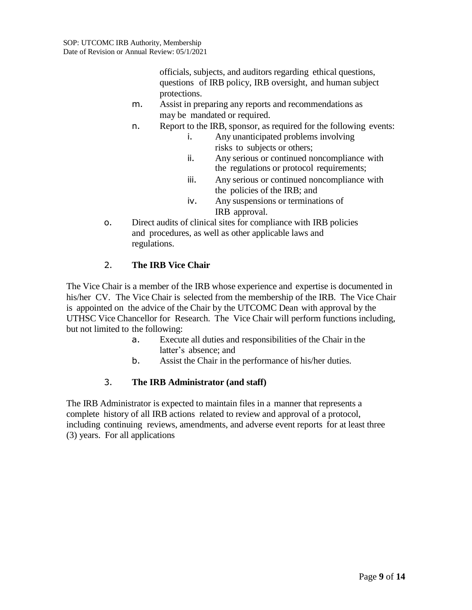officials, subjects, and auditors regarding ethical questions, questions of IRB policy, IRB oversight, and human subject protections.

- m. Assist in preparing any reports and recommendations as may be mandated or required.
- n. Report to the IRB, sponsor, as required for the following events:
	- i. Any unanticipated problems involving risks to subjects or others;
	- ii. Any serious or continued noncompliance with the regulations or protocol requirements;
	- iii. Any serious or continued noncompliance with the policies of the IRB; and
	- iv. Any suspensions or terminations of IRB approval.
- o. Direct audits of clinical sites for compliance with IRB policies and procedures, as well as other applicable laws and regulations.

# 2. **The IRB Vice Chair**

The Vice Chair is a member of the IRB whose experience and expertise is documented in his/her CV. The Vice Chair is selected from the membership of the IRB. The Vice Chair is appointed on the advice of the Chair by the UTCOMC Dean with approval by the UTHSC Vice Chancellor for Research. The Vice Chair will perform functions including, but not limited to the following:

- a. Execute all duties and responsibilities of the Chair in the latter's absence; and
- b. Assist the Chair in the performance of his/her duties.

## 3. **The IRB Administrator (and staff)**

The IRB Administrator is expected to maintain files in a manner that represents a complete history of all IRB actions related to review and approval of a protocol, including continuing reviews, amendments, and adverse event reports for at least three (3) years. For all applications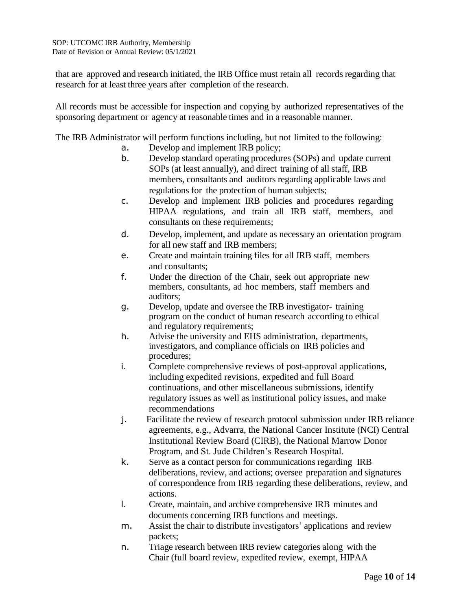that are approved and research initiated, the IRB Office must retain all records regarding that research for at least three years after completion of the research.

All records must be accessible for inspection and copying by authorized representatives of the sponsoring department or agency at reasonable times and in a reasonable manner.

The IRB Administrator will perform functions including, but not limited to the following:

- a. Develop and implement IRB policy;
- b. Develop standard operating procedures (SOPs) and update current SOPs (at least annually), and direct training of all staff, IRB members, consultants and auditors regarding applicable laws and regulations for the protection of human subjects;
- c. Develop and implement IRB policies and procedures regarding HIPAA regulations, and train all IRB staff, members, and consultants on these requirements;
- d. Develop, implement, and update as necessary an orientation program for all new staff and IRB members;
- e. Create and maintain training files for all IRB staff, members and consultants;
- f. Under the direction of the Chair, seek out appropriate new members, consultants, ad hoc members, staff members and auditors;
- g. Develop, update and oversee the IRB investigator- training program on the conduct of human research according to ethical and regulatory requirements;
- h. Advise the university and EHS administration, departments, investigators, and compliance officials on IRB policies and procedures;
- i. Complete comprehensive reviews of post-approval applications, including expedited revisions, expedited and full Board continuations, and other miscellaneous submissions, identify regulatory issues as well as institutional policy issues, and make recommendations
- j. Facilitate the review of research protocol submission under IRB reliance agreements, e.g., Advarra, the National Cancer Institute (NCI) Central Institutional Review Board (CIRB), the National Marrow Donor Program, and St. Jude Children's Research Hospital.
- k. Serve as a contact person for communications regarding IRB deliberations, review, and actions; oversee preparation and signatures of correspondence from IRB regarding these deliberations, review, and actions.
- l. Create, maintain, and archive comprehensive IRB minutes and documents concerning IRB functions and meetings.
- m. Assist the chair to distribute investigators' applications and review packets;
- n. Triage research between IRB review categories along with the Chair (full board review, expedited review, exempt, HIPAA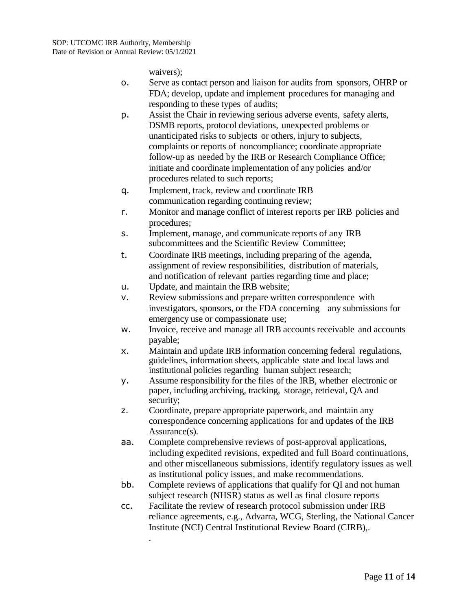.

waivers);

- o. Serve as contact person and liaison for audits from sponsors, OHRP or FDA; develop, update and implement procedures for managing and responding to these types of audits;
- p. Assist the Chair in reviewing serious adverse events, safety alerts, DSMB reports, protocol deviations, unexpected problems or unanticipated risks to subjects or others, injury to subjects, complaints or reports of noncompliance; coordinate appropriate follow-up as needed by the IRB or Research Compliance Office; initiate and coordinate implementation of any policies and/or procedures related to such reports;
- q. Implement, track, review and coordinate IRB communication regarding continuing review;
- r. Monitor and manage conflict of interest reports per IRB policies and procedures;
- s. Implement, manage, and communicate reports of any IRB subcommittees and the Scientific Review Committee;
- t. Coordinate IRB meetings, including preparing of the agenda, assignment of review responsibilities, distribution of materials, and notification of relevant parties regarding time and place;
- u. Update, and maintain the IRB website;
- v. Review submissions and prepare written correspondence with investigators, sponsors, or the FDA concerning any submissions for emergency use or compassionate use;
- w. Invoice, receive and manage all IRB accounts receivable and accounts payable;
- x. Maintain and update IRB information concerning federal regulations, guidelines, information sheets, applicable state and local laws and institutional policies regarding human subject research;
- y. Assume responsibility for the files of the IRB, whether electronic or paper, including archiving, tracking, storage, retrieval, QA and security;
- z. Coordinate, prepare appropriate paperwork, and maintain any correspondence concerning applications for and updates of the IRB Assurance(s).
- aa. Complete comprehensive reviews of post-approval applications, including expedited revisions, expedited and full Board continuations, and other miscellaneous submissions, identify regulatory issues as well as institutional policy issues, and make recommendations.
- bb. Complete reviews of applications that qualify for QI and not human subject research (NHSR) status as well as final closure reports
- cc. Facilitate the review of research protocol submission under IRB reliance agreements, e.g., Advarra, WCG, Sterling, the National Cancer Institute (NCI) Central Institutional Review Board (CIRB),.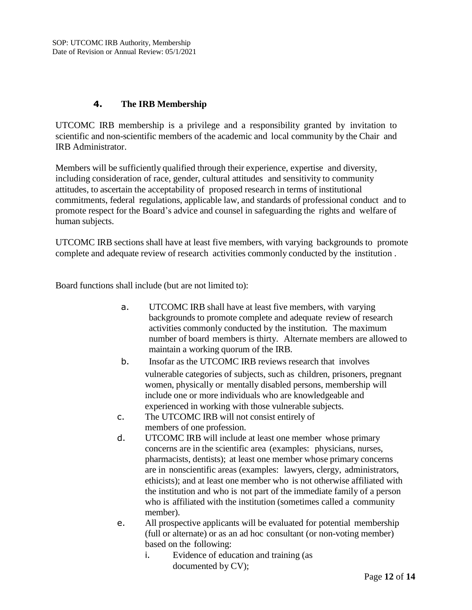# **4. The IRB Membership**

UTCOMC IRB membership is a privilege and a responsibility granted by invitation to scientific and non-scientific members of the academic and local community by the Chair and IRB Administrator.

Members will be sufficiently qualified through their experience, expertise and diversity, including consideration of race, gender, cultural attitudes and sensitivity to community attitudes, to ascertain the acceptability of proposed research in terms of institutional commitments, federal regulations, applicable law, and standards of professional conduct and to promote respect for the Board's advice and counsel in safeguarding the rights and welfare of human subjects.

UTCOMC IRB sections shall have at least five members, with varying backgrounds to promote complete and adequate review of research activities commonly conducted by the institution .

Board functions shall include (but are not limited to):

- a. UTCOMC IRB shall have at least five members, with varying backgrounds to promote complete and adequate review of research activities commonly conducted by the institution. The maximum number of board members is thirty. Alternate members are allowed to maintain a working quorum of the IRB.
- b. Insofar as the UTCOMC IRB reviews research that involves vulnerable categories of subjects, such as children, prisoners, pregnant women, physically or mentally disabled persons, membership will include one or more individuals who are knowledgeable and experienced in working with those vulnerable subjects.
- c. The UTCOMC IRB will not consist entirely of members of one profession.
- d. UTCOMC IRB will include at least one member whose primary concerns are in the scientific area (examples: physicians, nurses, pharmacists, dentists); at least one member whose primary concerns are in nonscientific areas (examples: lawyers, clergy, administrators, ethicists); and at least one member who is not otherwise affiliated with the institution and who is not part of the immediate family of a person who is affiliated with the institution (sometimes called a community member).
- e. All prospective applicants will be evaluated for potential membership (full or alternate) or as an ad hoc consultant (or non-voting member) based on the following:
	- i. Evidence of education and training (as documented by CV);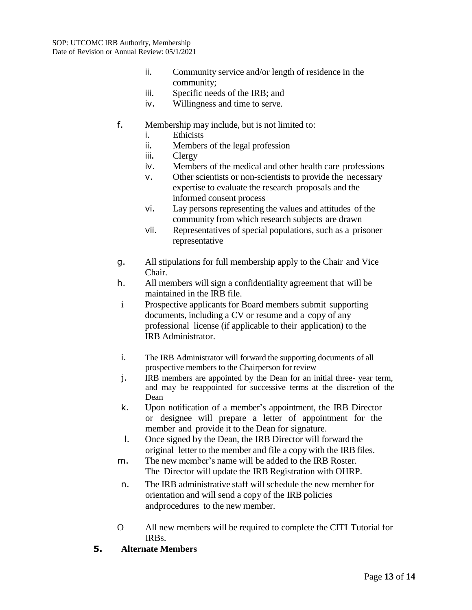- ii. Community service and/or length of residence in the community;
- iii. Specific needs of the IRB; and
- iv. Willingness and time to serve.
- f. Membership may include, but is not limited to:
	- i. Ethicists
	- ii. Members of the legal profession
	- iii. Clergy
	- iv. Members of the medical and other health care professions
	- v. Other scientists or non-scientists to provide the necessary expertise to evaluate the research proposals and the informed consent process
	- vi. Lay persons representing the values and attitudes of the community from which research subjects are drawn
	- vii. Representatives of special populations, such as a prisoner representative
- g. All stipulations for full membership apply to the Chair and Vice Chair.
- h. All members will sign a confidentiality agreement that will be maintained in the IRB file.
- i Prospective applicants for Board members submit supporting documents, including a CV or resume and a copy of any professional license (if applicable to their application) to the IRB Administrator.
- i. The IRB Administrator will forward the supporting documents of all prospective members to the Chairperson forreview
- j. IRB members are appointed by the Dean for an initial three- year term, and may be reappointed for successive terms at the discretion of the Dean
- k. Upon notification of a member's appointment, the IRB Director or designee will prepare a letter of appointment for the member and provide it to the Dean for signature.
- l. Once signed by the Dean, the IRB Director will forward the original letter to the member and file a copy with the IRB files.
- m. The new member's name will be added to the IRB Roster. The Director will update the IRB Registration with OHRP.
- n. The IRB administrative staff will schedule the new member for orientation and will send a copy of the IRB policies andprocedures to the new member.
- O All new members will be required to complete the CITI Tutorial for IRBs.
- **5. Alternate Members**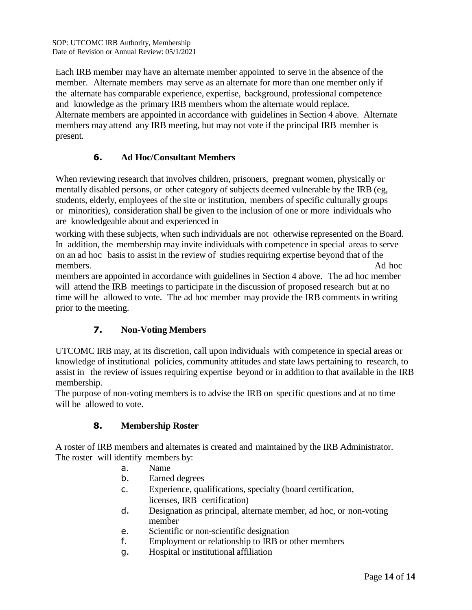Each IRB member may have an alternate member appointed to serve in the absence of the member. Alternate members may serve as an alternate for more than one member only if the alternate has comparable experience, expertise, background, professional competence and knowledge as the primary IRB members whom the alternate would replace. Alternate members are appointed in accordance with guidelines in Section 4 above. Alternate members may attend any IRB meeting, but may not vote if the principal IRB member is present.

# **6. Ad Hoc/Consultant Members**

When reviewing research that involves children, prisoners, pregnant women, physically or mentally disabled persons, or other category of subjects deemed vulnerable by the IRB (eg, students, elderly, employees of the site or institution, members of specific culturally groups or minorities), consideration shall be given to the inclusion of one or more individuals who are knowledgeable about and experienced in

working with these subjects, when such individuals are not otherwise represented on the Board. In addition, the membership may invite individuals with competence in special areas to serve on an ad hoc basis to assist in the review of studies requiring expertise beyond that of the members. Ad hoc

members are appointed in accordance with guidelines in Section 4 above. The ad hoc member will attend the IRB meetings to participate in the discussion of proposed research but at no time will be allowed to vote. The ad hoc member may provide the IRB comments in writing prior to the meeting.

# **7. Non-Voting Members**

UTCOMC IRB may, at its discretion, call upon individuals with competence in special areas or knowledge of institutional policies, community attitudes and state laws pertaining to research, to assist in the review of issues requiring expertise beyond or in addition to that available in the IRB membership.

The purpose of non-voting members is to advise the IRB on specific questions and at no time will be allowed to vote.

## **8. Membership Roster**

A roster of IRB members and alternates is created and maintained by the IRB Administrator. The roster will identify members by:

- a. Name
- b. Earned degrees
- c. Experience, qualifications, specialty (board certification, licenses, IRB certification)
- d. Designation as principal, alternate member, ad hoc, or non-voting member
- e. Scientific or non-scientific designation
- f. Employment or relationship to IRB or other members
- g. Hospital or institutional affiliation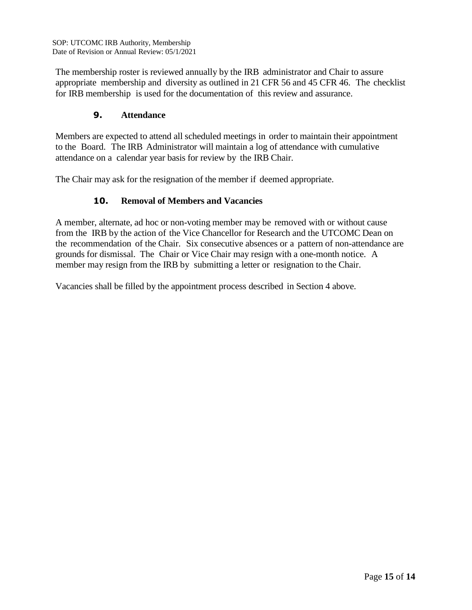The membership roster is reviewed annually by the IRB administrator and Chair to assure appropriate membership and diversity as outlined in 21 CFR 56 and 45 CFR 46. The checklist for IRB membership is used for the documentation of this review and assurance.

## **9. Attendance**

Members are expected to attend all scheduled meetings in order to maintain their appointment to the Board. The IRB Administrator will maintain a log of attendance with cumulative attendance on a calendar year basis for review by the IRB Chair.

The Chair may ask for the resignation of the member if deemed appropriate.

# **10. Removal of Members and Vacancies**

A member, alternate, ad hoc or non-voting member may be removed with or without cause from the IRB by the action of the Vice Chancellor for Research and the UTCOMC Dean on the recommendation of the Chair. Six consecutive absences or a pattern of non-attendance are grounds for dismissal. The Chair or Vice Chair may resign with a one-month notice. A member may resign from the IRB by submitting a letter or resignation to the Chair.

Vacancies shall be filled by the appointment process described in Section 4 above.